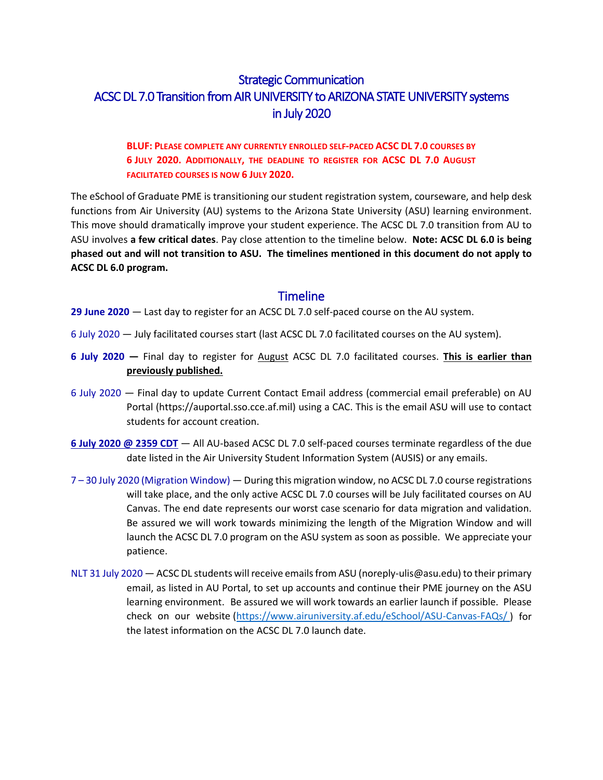# Strategic Communication ACSC DL 7.0 Transition from AIR UNIVERSITY to ARIZONA STATE UNIVERSITY systems in July 2020

#### **BLUF: PLEASE COMPLETE ANY CURRENTLY ENROLLED SELF-PACED ACSC DL 7.0 COURSES BY 6 JULY 2020. ADDITIONALLY, THE DEADLINE TO REGISTER FOR ACSC DL 7.0 AUGUST FACILITATED COURSES IS NOW 6 JULY 2020.**

The eSchool of Graduate PME is transitioning our student registration system, courseware, and help desk functions from Air University (AU) systems to the Arizona State University (ASU) learning environment. This move should dramatically improve your student experience. The ACSC DL 7.0 transition from AU to ASU involves **a few critical dates**. Pay close attention to the timeline below. **Note: ACSC DL 6.0 is being phased out and will not transition to ASU. The timelines mentioned in this document do not apply to ACSC DL 6.0 program.**

## **Timeline**

**29 June 2020** — Last day to register for an ACSC DL 7.0 self-paced course on the AU system.

- 6 July 2020 July facilitated courses start (last ACSC DL 7.0 facilitated courses on the AU system).
- **6 July 2020 —** Final day to register for August ACSC DL 7.0 facilitated courses. **This is earlier than previously published.**
- 6 July 2020 Final day to update Current Contact Email address (commercial email preferable) on AU Portal (https://auportal.sso.cce.af.mil) using a CAC. This is the email ASU will use to contact students for account creation.
- **6 July 2020 @ 2359 CDT** All AU-based ACSC DL 7.0 self-paced courses terminate regardless of the due date listed in the Air University Student Information System (AUSIS) or any emails.
- 7 30 July 2020 (Migration Window) During this migration window, no ACSC DL 7.0 course registrations will take place, and the only active ACSC DL 7.0 courses will be July facilitated courses on AU Canvas. The end date represents our worst case scenario for data migration and validation. Be assured we will work towards minimizing the length of the Migration Window and will launch the ACSC DL 7.0 program on the ASU system as soon as possible. We appreciate your patience.
- NLT 31 July 2020 ACSC DL students will receive emails from ASU (noreply-ulis@asu.edu) to their primary email, as listed in AU Portal, to set up accounts and continue their PME journey on the ASU learning environment. Be assured we will work towards an earlier launch if possible. Please check on our website [\(https://www.airuniversity.af.edu/eSchool/ASU-Canvas-FAQs/](https://www.airuniversity.af.edu/eSchool/ASU-Canvas-FAQs/) ) for the latest information on the ACSC DL 7.0 launch date.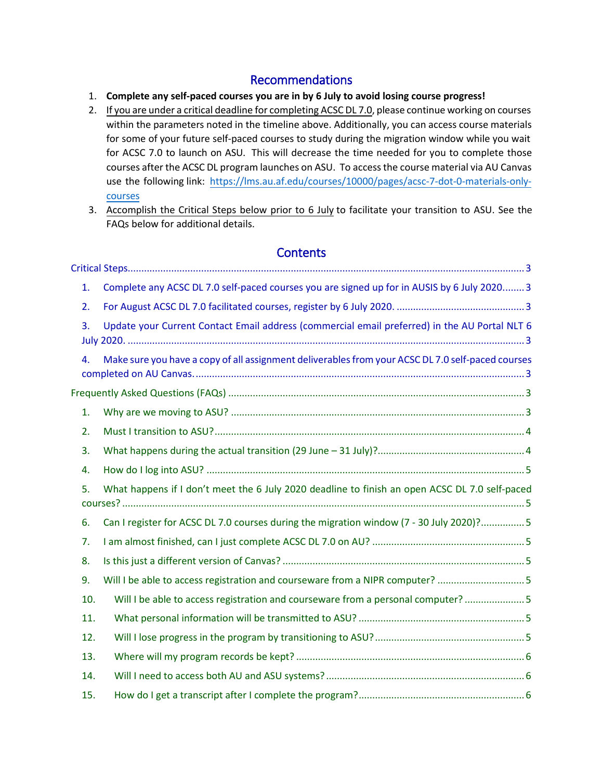# Recommendations

- 1. **Complete any self-paced courses you are in by 6 July to avoid losing course progress!**
- 2. If you are under a critical deadline for completing ACSC DL 7.0, please continue working on courses within the parameters noted in the timeline above. Additionally, you can access course materials for some of your future self-paced courses to study during the migration window while you wait for ACSC 7.0 to launch on ASU. This will decrease the time needed for you to complete those courses after the ACSC DL program launches on ASU. To accessthe course material via AU Canvas use the following link: [https://lms.au.af.edu/courses/10000/pages/acsc-7-dot-0-materials-only](https://nam03.safelinks.protection.outlook.com/?url=https%3A%2F%2Flms.au.af.edu%2Fcourses%2F10000%2Fpages%2Facsc-7-dot-0-materials-only-courses&data=02%7C01%7C%7C848b0a238e5c45822d7708d807cc4c18%7C84df9e7fe9f640afb435aaaaaaaaaaaa%7C1%7C0%7C637267921311759282&sdata=126g1oBrb8MLtKwD4Nk65angzdM9ObfKiLjjlZEs2Hs%3D&reserved=0)[courses](https://nam03.safelinks.protection.outlook.com/?url=https%3A%2F%2Flms.au.af.edu%2Fcourses%2F10000%2Fpages%2Facsc-7-dot-0-materials-only-courses&data=02%7C01%7C%7C848b0a238e5c45822d7708d807cc4c18%7C84df9e7fe9f640afb435aaaaaaaaaaaa%7C1%7C0%7C637267921311759282&sdata=126g1oBrb8MLtKwD4Nk65angzdM9ObfKiLjjlZEs2Hs%3D&reserved=0)
- 3. Accomplish the Critical Steps below prior to 6 July to facilitate your transition to ASU. See the FAQs below for additional details.

# **Contents**

| 1.  | Complete any ACSC DL 7.0 self-paced courses you are signed up for in AUSIS by 6 July 2020 3       |
|-----|---------------------------------------------------------------------------------------------------|
| 2.  |                                                                                                   |
| 3.  | Update your Current Contact Email address (commercial email preferred) in the AU Portal NLT 6     |
| 4.  | Make sure you have a copy of all assignment deliverables from your ACSC DL 7.0 self-paced courses |
|     |                                                                                                   |
| 1.  |                                                                                                   |
| 2.  |                                                                                                   |
| 3.  |                                                                                                   |
| 4.  |                                                                                                   |
| 5.  | What happens if I don't meet the 6 July 2020 deadline to finish an open ACSC DL 7.0 self-paced    |
| 6.  | Can I register for ACSC DL 7.0 courses during the migration window (7 - 30 July 2020)?5           |
| 7.  |                                                                                                   |
| 8.  |                                                                                                   |
| 9.  | Will I be able to access registration and courseware from a NIPR computer? 5                      |
| 10. | Will I be able to access registration and courseware from a personal computer?  5                 |
| 11. |                                                                                                   |
| 12. |                                                                                                   |
| 13. |                                                                                                   |
| 14. |                                                                                                   |
| 15. |                                                                                                   |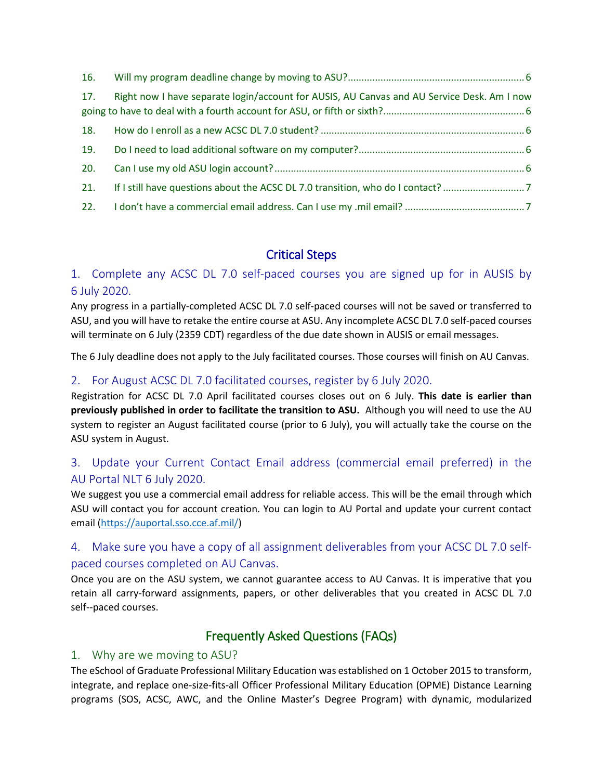| 16. |                                                                                            |
|-----|--------------------------------------------------------------------------------------------|
| 17. | Right now I have separate login/account for AUSIS, AU Canvas and AU Service Desk. Am I now |
| 18. |                                                                                            |
| 19. |                                                                                            |
| 20. |                                                                                            |
| 21. | If I still have questions about the ACSC DL 7.0 transition, who do I contact?7             |
| 22. |                                                                                            |

# Critical Steps

# <span id="page-2-1"></span><span id="page-2-0"></span>1. Complete any ACSC DL 7.0 self-paced courses you are signed up for in AUSIS by 6 July 2020.

Any progress in a partially-completed ACSC DL 7.0 self-paced courses will not be saved or transferred to ASU, and you will have to retake the entire course at ASU. Any incomplete ACSC DL 7.0 self-paced courses will terminate on 6 July (2359 CDT) regardless of the due date shown in AUSIS or email messages.

The 6 July deadline does not apply to the July facilitated courses. Those courses will finish on AU Canvas.

## <span id="page-2-2"></span>2. For August ACSC DL 7.0 facilitated courses, register by 6 July 2020.

Registration for ACSC DL 7.0 April facilitated courses closes out on 6 July. **This date is earlier than previously published in order to facilitate the transition to ASU.** Although you will need to use the AU system to register an August facilitated course (prior to 6 July), you will actually take the course on the ASU system in August.

# <span id="page-2-3"></span>3. Update your Current Contact Email address (commercial email preferred) in the AU Portal NLT 6 July 2020.

We suggest you use a commercial email address for reliable access. This will be the email through which ASU will contact you for account creation. You can login to AU Portal and update your current contact email [\(https://auportal.sso.cce.af.mil/\)](https://auportal.sso.cce.af.mil/)

# <span id="page-2-4"></span>4. Make sure you have a copy of all assignment deliverables from your ACSC DL 7.0 selfpaced courses completed on AU Canvas.

Once you are on the ASU system, we cannot guarantee access to AU Canvas. It is imperative that you retain all carry-forward assignments, papers, or other deliverables that you created in ACSC DL 7.0 self--paced courses.

# Frequently Asked Questions (FAQs)

## <span id="page-2-6"></span><span id="page-2-5"></span>1. Why are we moving to ASU?

The eSchool of Graduate Professional Military Education was established on 1 October 2015 to transform, integrate, and replace one-size-fits-all Officer Professional Military Education (OPME) Distance Learning programs (SOS, ACSC, AWC, and the Online Master's Degree Program) with dynamic, modularized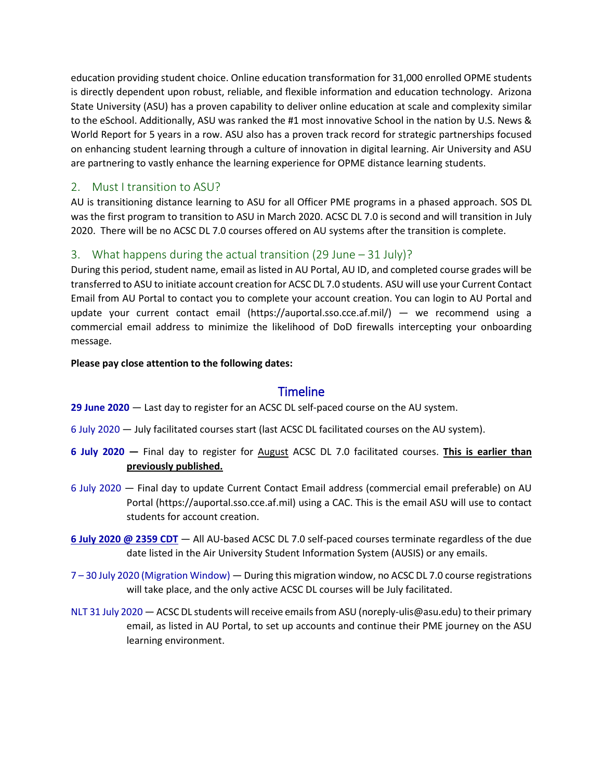education providing student choice. Online education transformation for 31,000 enrolled OPME students is directly dependent upon robust, reliable, and flexible information and education technology. Arizona State University (ASU) has a proven capability to deliver online education at scale and complexity similar to the eSchool. Additionally, ASU was ranked the #1 most innovative School in the nation by U.S. News & World Report for 5 years in a row. ASU also has a proven track record for strategic partnerships focused on enhancing student learning through a culture of innovation in digital learning. Air University and ASU are partnering to vastly enhance the learning experience for OPME distance learning students.

# <span id="page-3-0"></span>2. Must I transition to ASU?

AU is transitioning distance learning to ASU for all Officer PME programs in a phased approach. SOS DL was the first program to transition to ASU in March 2020. ACSC DL 7.0 is second and will transition in July 2020. There will be no ACSC DL 7.0 courses offered on AU systems after the transition is complete.

## <span id="page-3-1"></span>3. What happens during the actual transition (29 June – 31 July)?

During this period, student name, email as listed in AU Portal, AU ID, and completed course grades will be transferred to ASU to initiate account creation for ACSC DL 7.0 students. ASU will use your Current Contact Email from AU Portal to contact you to complete your account creation. You can login to AU Portal and update your current contact email (https://auportal.sso.cce.af.mil/) — we recommend using a commercial email address to minimize the likelihood of DoD firewalls intercepting your onboarding message.

#### **Please pay close attention to the following dates:**

## **Timeline**

**29 June 2020** — Last day to register for an ACSC DL self-paced course on the AU system.

6 July 2020 — July facilitated courses start (last ACSC DL facilitated courses on the AU system).

- **6 July 2020 —** Final day to register for August ACSC DL 7.0 facilitated courses. **This is earlier than previously published.**
- 6 July 2020 Final day to update Current Contact Email address (commercial email preferable) on AU Portal (https://auportal.sso.cce.af.mil) using a CAC. This is the email ASU will use to contact students for account creation.
- **6 July 2020 @ 2359 CDT** All AU-based ACSC DL 7.0 self-paced courses terminate regardless of the due date listed in the Air University Student Information System (AUSIS) or any emails.
- 7 30 July 2020 (Migration Window) During this migration window, no ACSC DL 7.0 course registrations will take place, and the only active ACSC DL courses will be July facilitated.
- NLT 31 July 2020 ACSC DL students will receive emails from ASU (noreply-ulis@asu.edu) to their primary email, as listed in AU Portal, to set up accounts and continue their PME journey on the ASU learning environment.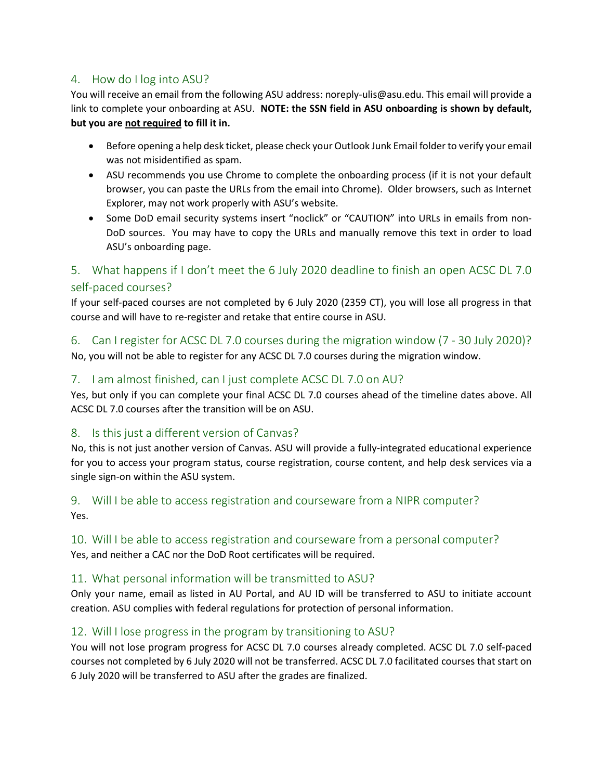## <span id="page-4-0"></span>4. How do I log into ASU?

You will receive an email from the following ASU address: noreply-ulis@asu.edu. This email will provide a link to complete your onboarding at ASU. **NOTE: the SSN field in ASU onboarding is shown by default, but you are not required to fill it in.**

- Before opening a help desk ticket, please check your Outlook Junk Email folder to verify your email was not misidentified as spam.
- ASU recommends you use Chrome to complete the onboarding process (if it is not your default browser, you can paste the URLs from the email into Chrome). Older browsers, such as Internet Explorer, may not work properly with ASU's website.
- Some DoD email security systems insert "noclick" or "CAUTION" into URLs in emails from non-DoD sources. You may have to copy the URLs and manually remove this text in order to load ASU's onboarding page.

# <span id="page-4-1"></span>5. What happens if I don't meet the 6 July 2020 deadline to finish an open ACSC DL 7.0 self-paced courses?

If your self-paced courses are not completed by 6 July 2020 (2359 CT), you will lose all progress in that course and will have to re-register and retake that entire course in ASU.

<span id="page-4-2"></span>6. Can I register for ACSC DL 7.0 courses during the migration window (7 - 30 July 2020)? No, you will not be able to register for any ACSC DL 7.0 courses during the migration window.

## <span id="page-4-3"></span>7. I am almost finished, can I just complete ACSC DL 7.0 on AU?

Yes, but only if you can complete your final ACSC DL 7.0 courses ahead of the timeline dates above. All ACSC DL 7.0 courses after the transition will be on ASU.

## <span id="page-4-4"></span>8. Is this just a different version of Canvas?

No, this is not just another version of Canvas. ASU will provide a fully-integrated educational experience for you to access your program status, course registration, course content, and help desk services via a single sign-on within the ASU system.

#### <span id="page-4-5"></span>9. Will I be able to access registration and courseware from a NIPR computer? Yes.

# <span id="page-4-6"></span>10. Will I be able to access registration and courseware from a personal computer?

Yes, and neither a CAC nor the DoD Root certificates will be required.

## <span id="page-4-7"></span>11. What personal information will be transmitted to ASU?

Only your name, email as listed in AU Portal, and AU ID will be transferred to ASU to initiate account creation. ASU complies with federal regulations for protection of personal information.

## <span id="page-4-8"></span>12. Will I lose progress in the program by transitioning to ASU?

You will not lose program progress for ACSC DL 7.0 courses already completed. ACSC DL 7.0 self-paced courses not completed by 6 July 2020 will not be transferred. ACSC DL 7.0 facilitated courses that start on 6 July 2020 will be transferred to ASU after the grades are finalized.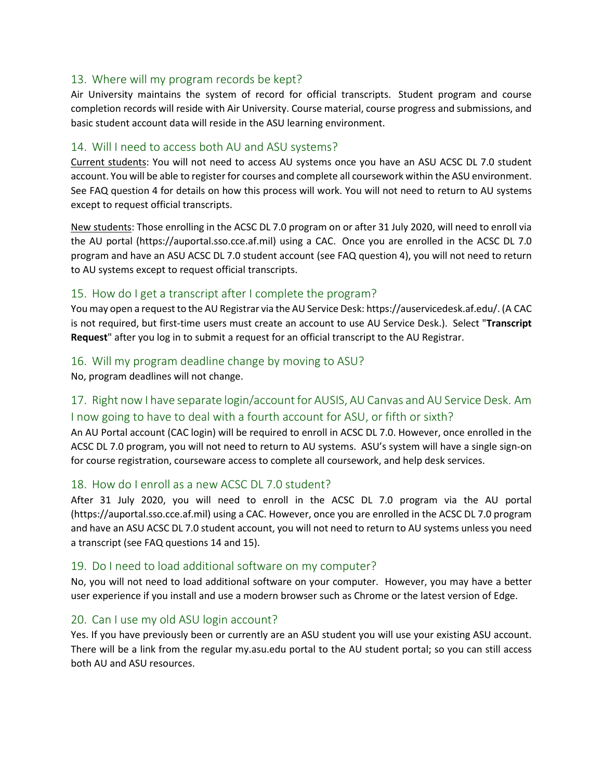#### <span id="page-5-0"></span>13. Where will my program records be kept?

Air University maintains the system of record for official transcripts.  Student program and course completion records will reside with Air University. Course material, course progress and submissions, and basic student account data will reside in the ASU learning environment.

#### <span id="page-5-1"></span>14. Will I need to access both AU and ASU systems?

Current students: You will not need to access AU systems once you have an ASU ACSC DL 7.0 student account. You will be able to register for courses and complete all coursework within the ASU environment. See FAQ question 4 for details on how this process will work. You will not need to return to AU systems except to request official transcripts.

New students: Those enrolling in the ACSC DL 7.0 program on or after 31 July 2020, will need to enroll via the AU portal (https://auportal.sso.cce.af.mil) using a CAC.  Once you are enrolled in the ACSC DL 7.0 program and have an ASU ACSC DL 7.0 student account (see FAQ question 4), you will not need to return to AU systems except to request official transcripts.

#### <span id="page-5-2"></span>15. How do I get a transcript after I complete the program?

You may open a request to the AU Registrar via the AU Service Desk: https://auservicedesk.af.edu/. (A CAC is not required, but first-time users must create an account to use AU Service Desk.). Select "**Transcript Request**" after you log in to submit a request for an official transcript to the AU Registrar.

#### <span id="page-5-3"></span>16. Will my program deadline change by moving to ASU?

No, program deadlines will not change. 

# <span id="page-5-4"></span>17. Right now I have separate login/account for AUSIS, AU Canvas and AU Service Desk. Am I now going to have to deal with a fourth account for ASU, or fifth or sixth?

An AU Portal account (CAC login) will be required to enroll in ACSC DL 7.0. However, once enrolled in the ACSC DL 7.0 program, you will not need to return to AU systems.  ASU's system will have a single sign-on for course registration, courseware access to complete all coursework, and help desk services.

#### <span id="page-5-5"></span>18. How do I enroll as a new ACSC DL 7.0 student?

After 31 July 2020, you will need to enroll in the ACSC DL 7.0 program via the AU portal (https://auportal.sso.cce.af.mil) using a CAC. However, once you are enrolled in the ACSC DL 7.0 program and have an ASU ACSC DL 7.0 student account, you will not need to return to AU systems unless you need a transcript (see FAQ questions 14 and 15).

#### <span id="page-5-6"></span>19. Do I need to load additional software on my computer?

No, you will not need to load additional software on your computer. However, you may have a better user experience if you install and use a modern browser such as Chrome or the latest version of Edge.

#### <span id="page-5-7"></span>20. Can I use my old ASU login account?

Yes. If you have previously been or currently are an ASU student you will use your existing ASU account. There will be a link from the regular my.asu.edu portal to the AU student portal; so you can still access both AU and ASU resources.